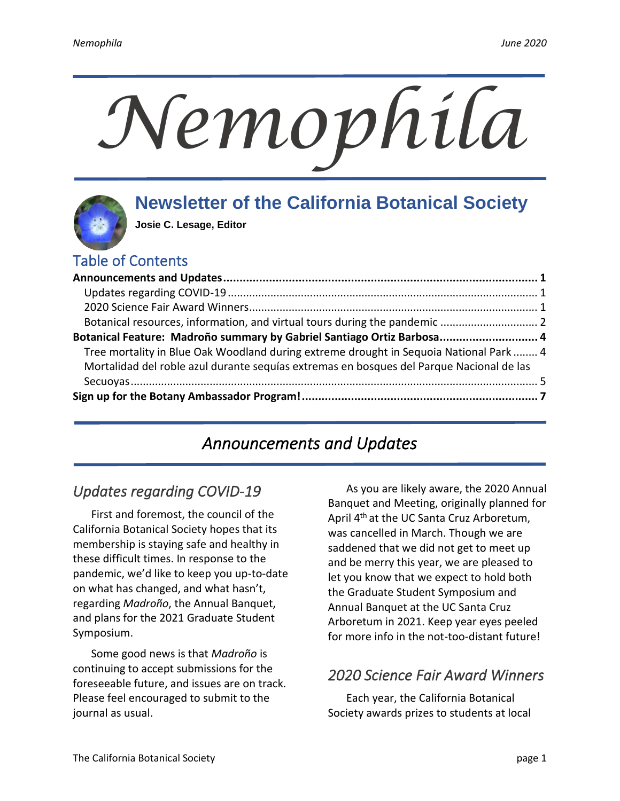# *Nemophila*

# **Newsletter of the California Botanical Society**

**Josie C. Lesage, Editor**

# Table of Contents

| Botanical Feature: Madroño summary by Gabriel Santiago Ortiz Barbosa 4                   |  |
|------------------------------------------------------------------------------------------|--|
| Tree mortality in Blue Oak Woodland during extreme drought in Sequoia National Park  4   |  |
| Mortalidad del roble azul durante seguías extremas en bosques del Parque Nacional de las |  |
|                                                                                          |  |
|                                                                                          |  |
|                                                                                          |  |

# *Announcements and Updates*

# <span id="page-0-1"></span><span id="page-0-0"></span>*Updates regarding COVID-19*

First and foremost, the council of the California Botanical Society hopes that its membership is staying safe and healthy in these difficult times. In response to the pandemic, we'd like to keep you up-to-date on what has changed, and what hasn't, regarding *Madroño*, the Annual Banquet, and plans for the 2021 Graduate Student Symposium.

Some good news is that *Madroño* is continuing to accept submissions for the foreseeable future, and issues are on track. Please feel encouraged to submit to the journal as usual.

As you are likely aware, the 2020 Annual Banquet and Meeting, originally planned for April 4<sup>th</sup> at the UC Santa Cruz Arboretum, was cancelled in March. Though we are saddened that we did not get to meet up and be merry this year, we are pleased to let you know that we expect to hold both the Graduate Student Symposium and Annual Banquet at the UC Santa Cruz Arboretum in 2021. Keep year eyes peeled for more info in the not-too-distant future!

### <span id="page-0-2"></span>*2020 Science Fair Award Winners*

Each year, the California Botanical Society awards prizes to students at local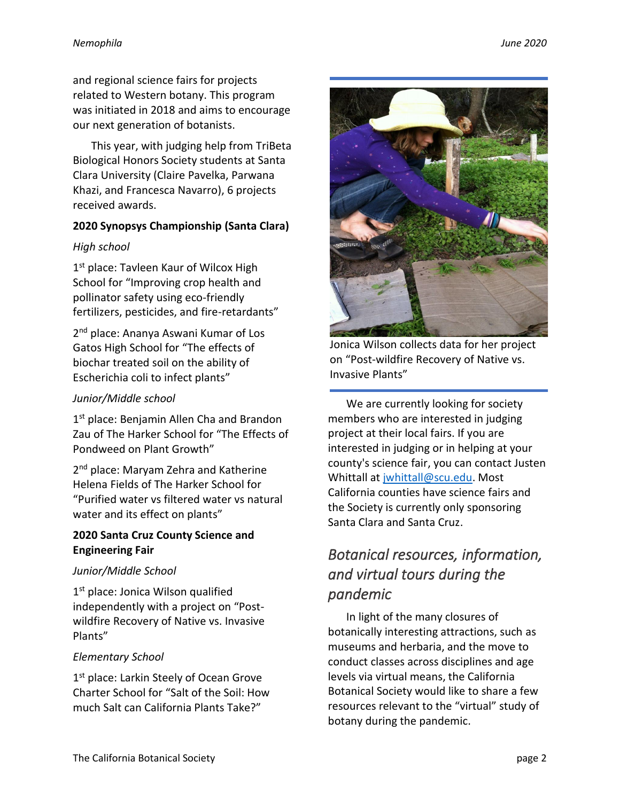and regional science fairs for projects related to Western botany. This program was initiated in 2018 and aims to encourage our next generation of botanists.

This year, with judging help from TriBeta Biological Honors Society students at Santa Clara University (Claire Pavelka, Parwana Khazi, and Francesca Navarro), 6 projects received awards.

### **2020 Synopsys Championship (Santa Clara)**

### *High school*

1<sup>st</sup> place: Tavleen Kaur of Wilcox High School for "Improving crop health and pollinator safety using eco-friendly fertilizers, pesticides, and fire-retardants"

2 nd place: Ananya Aswani Kumar of Los Gatos High School for "The effects of biochar treated soil on the ability of Escherichia coli to infect plants"

### *Junior/Middle school*

1<sup>st</sup> place: Benjamin Allen Cha and Brandon Zau of The Harker School for "The Effects of Pondweed on Plant Growth"

2<sup>nd</sup> place: Maryam Zehra and Katherine Helena Fields of The Harker School for "Purified water vs filtered water vs natural water and its effect on plants"

### **2020 Santa Cruz County Science and Engineering Fair**

### *Junior/Middle School*

1<sup>st</sup> place: Jonica Wilson qualified independently with a project on "Postwildfire Recovery of Native vs. Invasive Plants"

### *Elementary School*

1<sup>st</sup> place: Larkin Steely of Ocean Grove Charter School for "Salt of the Soil: How much Salt can California Plants Take?"



Jonica Wilson collects data for her project on "Post-wildfire Recovery of Native vs. Invasive Plants"

We are currently looking for society members who are interested in judging project at their local fairs. If you are interested in judging or in helping at your county's science fair, you can contact Justen Whittall at [jwhittall@scu.edu.](mailto:jwhittall@scu.edu) Most California counties have science fairs and the Society is currently only sponsoring Santa Clara and Santa Cruz.

# <span id="page-1-0"></span>*Botanical resources, information, and virtual tours during the pandemic*

In light of the many closures of botanically interesting attractions, such as museums and herbaria, and the move to conduct classes across disciplines and age levels via virtual means, the California Botanical Society would like to share a few resources relevant to the "virtual" study of botany during the pandemic.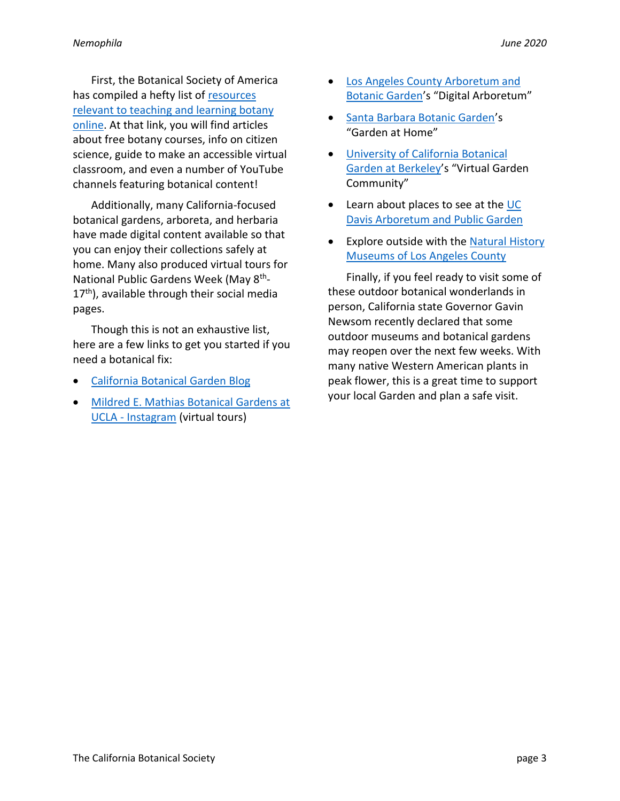First, the Botanical Society of America has compiled a hefty list of [resources](https://cms.botany.org/home/resources/online_resources.html)  [relevant to teaching](https://cms.botany.org/home/resources/online_resources.html) and learning botany [online.](https://cms.botany.org/home/resources/online_resources.html) At that link, you will find articles about free botany courses, info on citizen science, guide to make an accessible virtual classroom, and even a number of YouTube channels featuring botanical content!

Additionally, many California-focused botanical gardens, arboreta, and herbaria have made digital content available so that you can enjoy their collections safely at home. Many also produced virtual tours for National Public Gardens Week (May 8<sup>th</sup>-17<sup>th</sup>), available through their social media pages.

Though this is not an exhaustive list, here are a few links to get you started if you need a botanical fix:

- [California Botanical](https://www.calbg.org/visit/blog) Garden Blog
- [Mildred E. Mathias Botanical Gardens at](https://www.instagram.com/uclabotanical/)  UCLA - [Instagram](https://www.instagram.com/uclabotanical/) (virtual tours)
- [Los Angeles County Arboretum and](https://www.arboretum.org/digital-arboretum/)  [Botanic Garden](https://www.arboretum.org/digital-arboretum/)'s "Digital Arboretum"
- [Santa Barbara Botanic Garden](https://www.sbbg.org/athome)'s "Garden at Home"
- [University of California Botanical](https://botanicalgarden.berkeley.edu/house-planted)  [Garden at Berkeley](https://botanicalgarden.berkeley.edu/house-planted)'s "Virtual Garden Community"
- Learn about places to see at the UC [Davis Arboretum and Public Garden](https://arboretum.ucdavis.edu/places-to-see)
- Explore outside with the [Natural History](https://nhmlac.org/connects)  [Museums of Los Angeles County](https://nhmlac.org/connects)

Finally, if you feel ready to visit some of these outdoor botanical wonderlands in person, California state Governor Gavin Newsom recently declared that some outdoor museums and botanical gardens may reopen over the next few weeks. With many native Western American plants in peak flower, this is a great time to support your local Garden and plan a safe visit.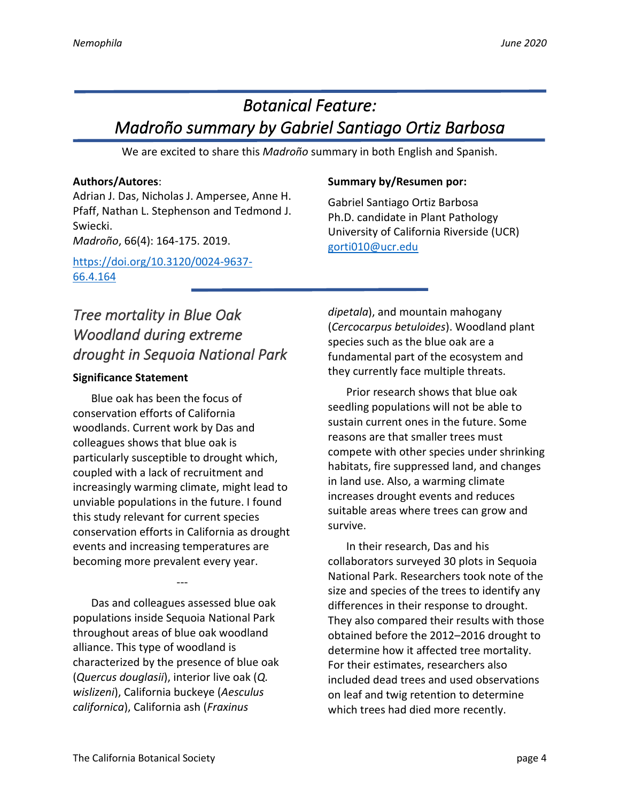# <span id="page-3-0"></span>*Botanical Feature: Madroño summary by Gabriel Santiago Ortiz Barbosa*

We are excited to share this *Madroño* summary in both English and Spanish.

### **Authors/Autores**:

Adrian J. Das, Nicholas J. Ampersee, Anne H. Pfaff, Nathan L. Stephenson and Tedmond J. Swiecki. *Madroño*, 66(4): 164-175. 2019.

[https://doi.org/10.3120/0024-9637-](https://doi.org/10.3120/0024-9637-66.4.164) [66.4.164](https://doi.org/10.3120/0024-9637-66.4.164)

### **Summary by/Resumen por:**

Gabriel Santiago Ortiz Barbosa Ph.D. candidate in Plant Pathology University of California Riverside (UCR) [gorti010@ucr.edu](mailto:gorti010@ucr.edu)

# <span id="page-3-1"></span>*Tree mortality in Blue Oak Woodland during extreme drought in Sequoia National Park*

### **Significance Statement**

Blue oak has been the focus of conservation efforts of California woodlands. Current work by Das and colleagues shows that blue oak is particularly susceptible to drought which, coupled with a lack of recruitment and increasingly warming climate, might lead to unviable populations in the future. I found this study relevant for current species conservation efforts in California as drought events and increasing temperatures are becoming more prevalent every year.

Das and colleagues assessed blue oak populations inside Sequoia National Park throughout areas of blue oak woodland alliance. This type of woodland is characterized by the presence of blue oak (*Quercus douglasii*), interior live oak (*Q. wislizeni*), California buckeye (*Aesculus californica*), California ash (*Fraxinus* 

---

*dipetala*), and mountain mahogany (*Cercocarpus betuloides*). Woodland plant species such as the blue oak are a fundamental part of the ecosystem and they currently face multiple threats.

Prior research shows that blue oak seedling populations will not be able to sustain current ones in the future. Some reasons are that smaller trees must compete with other species under shrinking habitats, fire suppressed land, and changes in land use. Also, a warming climate increases drought events and reduces suitable areas where trees can grow and survive.

In their research, Das and his collaborators surveyed 30 plots in Sequoia National Park. Researchers took note of the size and species of the trees to identify any differences in their response to drought. They also compared their results with those obtained before the 2012–2016 drought to determine how it affected tree mortality. For their estimates, researchers also included dead trees and used observations on leaf and twig retention to determine which trees had died more recently.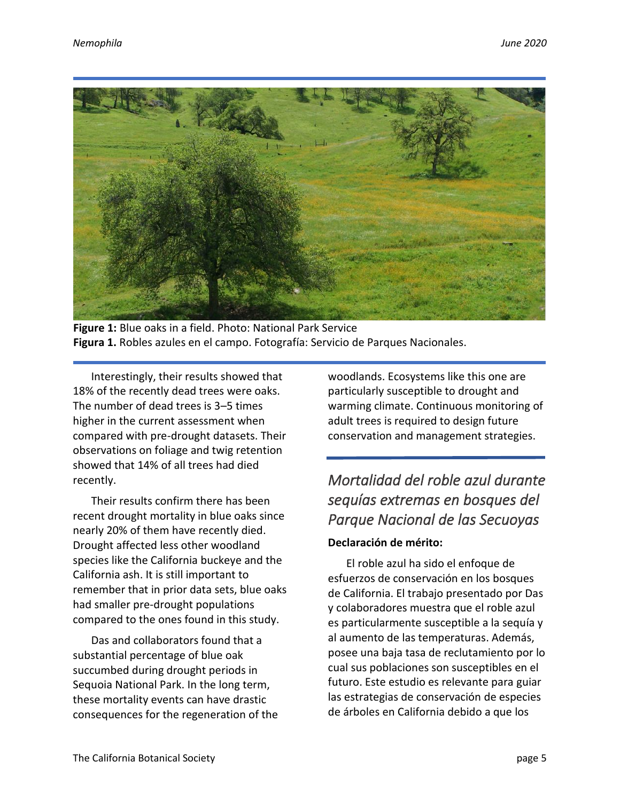

**Figure 1:** Blue oaks in a field. Photo: National Park Service **Figura 1.** Robles azules en el campo. Fotografía: Servicio de Parques Nacionales.

Interestingly, their results showed that 18% of the recently dead trees were oaks. The number of dead trees is 3–5 times higher in the current assessment when compared with pre-drought datasets. Their observations on foliage and twig retention showed that 14% of all trees had died recently.

Their results confirm there has been recent drought mortality in blue oaks since nearly 20% of them have recently died. Drought affected less other woodland species like the California buckeye and the California ash. It is still important to remember that in prior data sets, blue oaks had smaller pre-drought populations compared to the ones found in this study.

Das and collaborators found that a substantial percentage of blue oak succumbed during drought periods in Sequoia National Park. In the long term, these mortality events can have drastic consequences for the regeneration of the woodlands. Ecosystems like this one are particularly susceptible to drought and warming climate. Continuous monitoring of adult trees is required to design future conservation and management strategies.

# <span id="page-4-0"></span>*Mortalidad del roble azul durante sequías extremas en bosques del Parque Nacional de las Secuoyas*

### **Declaración de mérito:**

El roble azul ha sido el enfoque de esfuerzos de conservación en los bosques de California. El trabajo presentado por Das y colaboradores muestra que el roble azul es particularmente susceptible a la sequía y al aumento de las temperaturas. Además, posee una baja tasa de reclutamiento por lo cual sus poblaciones son susceptibles en el futuro. Este estudio es relevante para guiar las estrategias de conservación de especies de árboles en California debido a que los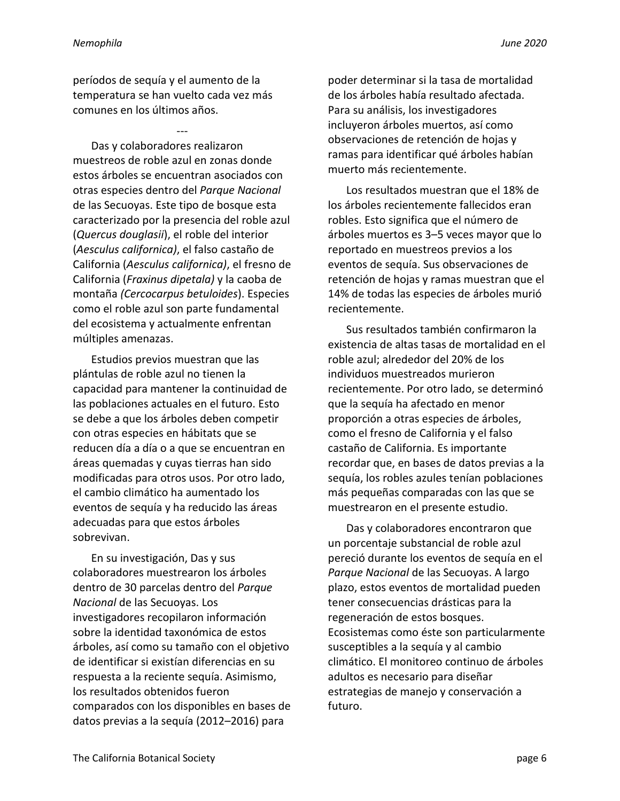períodos de sequía y el aumento de la temperatura se han vuelto cada vez más comunes en los últimos años.

--- Das y colaboradores realizaron muestreos de roble azul en zonas donde estos árboles se encuentran asociados con otras especies dentro del *Parque Nacional* de las Secuoyas. Este tipo de bosque esta caracterizado por la presencia del roble azul (*Quercus douglasii*), el roble del interior (*Aesculus californica)*, el falso castaño de California (*Aesculus californica)*, el fresno de California (*Fraxinus dipetala)* y la caoba de montaña *(Cercocarpus betuloides*). Especies como el roble azul son parte fundamental del ecosistema y actualmente enfrentan múltiples amenazas.

Estudios previos muestran que las plántulas de roble azul no tienen la capacidad para mantener la continuidad de las poblaciones actuales en el futuro. Esto se debe a que los árboles deben competir con otras especies en hábitats que se reducen día a día o a que se encuentran en áreas quemadas y cuyas tierras han sido modificadas para otros usos. Por otro lado, el cambio climático ha aumentado los eventos de sequía y ha reducido las áreas adecuadas para que estos árboles sobrevivan.

En su investigación, Das y sus colaboradores muestrearon los árboles dentro de 30 parcelas dentro del *Parque Nacional* de las Secuoyas. Los investigadores recopilaron información sobre la identidad taxonómica de estos árboles, así como su tamaño con el objetivo de identificar si existían diferencias en su respuesta a la reciente sequía. Asimismo, los resultados obtenidos fueron comparados con los disponibles en bases de datos previas a la sequía (2012–2016) para

poder determinar si la tasa de mortalidad de los árboles había resultado afectada. Para su análisis, los investigadores incluyeron árboles muertos, así como observaciones de retención de hojas y ramas para identificar qué árboles habían muerto más recientemente.

Los resultados muestran que el 18% de los árboles recientemente fallecidos eran robles. Esto significa que el número de árboles muertos es 3–5 veces mayor que lo reportado en muestreos previos a los eventos de sequía. Sus observaciones de retención de hojas y ramas muestran que el 14% de todas las especies de árboles murió recientemente.

Sus resultados también confirmaron la existencia de altas tasas de mortalidad en el roble azul; alrededor del 20% de los individuos muestreados murieron recientemente. Por otro lado, se determinó que la sequía ha afectado en menor proporción a otras especies de árboles, como el fresno de California y el falso castaño de California. Es importante recordar que, en bases de datos previas a la sequía, los robles azules tenían poblaciones más pequeñas comparadas con las que se muestrearon en el presente estudio.

Das y colaboradores encontraron que un porcentaje substancial de roble azul pereció durante los eventos de sequía en el *Parque Nacional* de las Secuoyas. A largo plazo, estos eventos de mortalidad pueden tener consecuencias drásticas para la regeneración de estos bosques. Ecosistemas como éste son particularmente susceptibles a la sequía y al cambio climático. El monitoreo continuo de árboles adultos es necesario para diseñar estrategias de manejo y conservación a futuro.